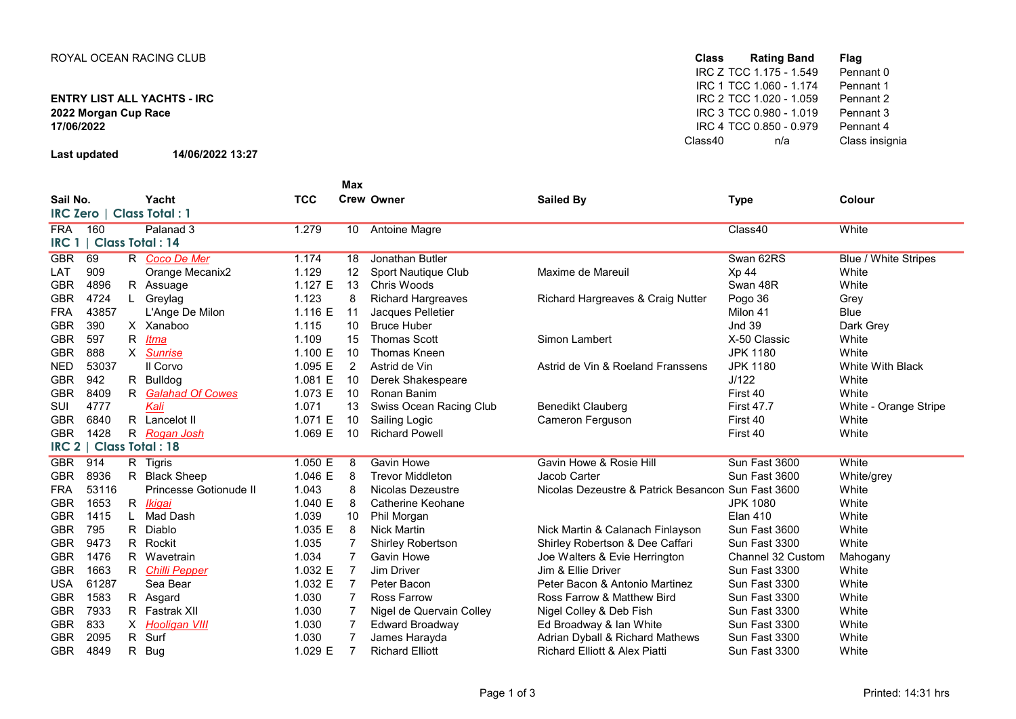## ENTRY LIST ALL YACHTS - IRC 17/06/2022

Last updated 14/06/2022 13:27

| <b>Class</b> |     | <b>Flag</b>                                                                                                                                        |
|--------------|-----|----------------------------------------------------------------------------------------------------------------------------------------------------|
|              |     | Pennant 0                                                                                                                                          |
|              |     | Pennant 1                                                                                                                                          |
|              |     | Pennant 2                                                                                                                                          |
|              |     | Pennant 3                                                                                                                                          |
|              |     | Pennant 4                                                                                                                                          |
| Class40      | n/a | Class insignia                                                                                                                                     |
|              |     | Rating Band<br>IRC Z TCC 1.175 - 1.549<br>IRC 1 TCC 1.060 - 1.174<br>IRC 2 TCC 1.020 - 1.059<br>IRC 3 TCC 0.980 - 1.019<br>IRC 4 TCC 0.850 - 0.979 |

|                                          |       |    |                        |            | <b>Max</b>     |                           |                                          |                   |                             |
|------------------------------------------|-------|----|------------------------|------------|----------------|---------------------------|------------------------------------------|-------------------|-----------------------------|
| Sail No.                                 |       |    | Yacht                  | <b>TCC</b> |                | <b>Crew Owner</b>         | <b>Sailed By</b>                         | <b>Type</b>       | Colour                      |
| <b>IRC Zero</b><br><b>Class Total: 1</b> |       |    |                        |            |                |                           |                                          |                   |                             |
| <b>FRA</b>                               | 160   |    | Palanad 3              | 1.279      | 10             | <b>Antoine Magre</b>      |                                          | Class40           | White                       |
| <b>IRC 1</b>                             |       |    | <b>Class Total: 14</b> |            |                |                           |                                          |                   |                             |
| <b>GBR</b>                               | 69    |    | R Coco De Mer          | 1.174      | 18             | Jonathan Butler           |                                          | Swan 62RS         | <b>Blue / White Stripes</b> |
| LAT                                      | 909   |    | Orange Mecanix2        | 1.129      | 12             | Sport Nautique Club       | Maxime de Mareuil                        | Xp 44             | White                       |
| <b>GBR</b>                               | 4896  |    | R Assuage              | 1.127 $E$  | 13             | Chris Woods               |                                          | Swan 48R          | White                       |
| <b>GBR</b>                               | 4724  | L. | Greylag                | 1.123      | 8              | <b>Richard Hargreaves</b> | Richard Hargreaves & Craig Nutter        | Pogo 36           | Grey                        |
| <b>FRA</b>                               | 43857 |    | L'Ange De Milon        | 1.116 E    | 11             | Jacques Pelletier         |                                          | Milon 41          | <b>Blue</b>                 |
| <b>GBR</b>                               | 390   |    | X Xanaboo              | 1.115      | 10             | <b>Bruce Huber</b>        |                                          | <b>Jnd 39</b>     | Dark Grey                   |
| <b>GBR</b>                               | 597   | R. | Itma                   | 1.109      | 15             | <b>Thomas Scott</b>       | Simon Lambert                            | X-50 Classic      | White                       |
| <b>GBR</b>                               | 888   |    | X Sunrise              | 1.100 E    | 10             | Thomas Kneen              |                                          | <b>JPK 1180</b>   | White                       |
| <b>NED</b>                               | 53037 |    | Il Corvo               | 1.095 E    | 2              | Astrid de Vin             | Astrid de Vin & Roeland Franssens        | <b>JPK 1180</b>   | White With Black            |
| <b>GBR</b>                               | 942   |    | R Bulldog              | 1.081 E    | 10             | Derek Shakespeare         |                                          | J/122             | White                       |
| <b>GBR</b>                               | 8409  |    | R Galahad Of Cowes     | 1.073 E    | 10             | Ronan Banim               |                                          | First 40          | White                       |
| SUI                                      | 4777  |    | Kali                   | 1.071      | 13             | Swiss Ocean Racing Club   | <b>Benedikt Clauberg</b>                 | <b>First 47.7</b> | White - Orange Stripe       |
| <b>GBR</b>                               | 6840  |    | R Lancelot II          | 1.071 E    | 10             | Sailing Logic             | Cameron Ferguson                         | First 40          | White                       |
| <b>GBR</b>                               | 1428  |    | R Rogan Josh           | 1.069 E    | 10             | <b>Richard Powell</b>     |                                          | First 40          | White                       |
| RC 2                                     |       |    | <b>Class Total: 18</b> |            |                |                           |                                          |                   |                             |
| <b>GBR</b>                               | 914   |    | R Tigris               | 1.050 E    | 8              | <b>Gavin Howe</b>         | Gavin Howe & Rosie Hill                  | Sun Fast 3600     | White                       |
| <b>GBR</b>                               | 8936  |    | R Black Sheep          | 1.046 E    | 8              | <b>Trevor Middleton</b>   | Jacob Carter                             | Sun Fast 3600     | White/grey                  |
| <b>FRA</b>                               | 53116 |    | Princesse Gotionude II | 1.043      | 8              | Nicolas Dezeustre         | Nicolas Dezeustre & Patrick Besancon     | Sun Fast 3600     | White                       |
| <b>GBR</b>                               | 1653  |    | R <i>Ikigai</i>        | 1.040 E    | 8              | Catherine Keohane         |                                          | <b>JPK 1080</b>   | White                       |
| <b>GBR</b>                               | 1415  |    | Mad Dash               | 1.039      | 10             | Phil Morgan               |                                          | <b>Elan 410</b>   | White                       |
| <b>GBR</b>                               | 795   | R  | Diablo                 | 1.035 E    | 8              | <b>Nick Martin</b>        | Nick Martin & Calanach Finlayson         | Sun Fast 3600     | White                       |
| <b>GBR</b>                               | 9473  | R. | Rockit                 | 1.035      | 7              | Shirley Robertson         | Shirley Robertson & Dee Caffari          | Sun Fast 3300     | White                       |
| <b>GBR</b>                               | 1476  | R. | Wavetrain              | 1.034      | $\overline{7}$ | <b>Gavin Howe</b>         | Joe Walters & Evie Herrington            | Channel 32 Custom | Mahogany                    |
| <b>GBR</b>                               | 1663  |    | R Chilli Pepper        | 1.032 E    | -7             | Jim Driver                | Jim & Ellie Driver                       | Sun Fast 3300     | White                       |
| <b>USA</b>                               | 61287 |    | Sea Bear               | 1.032 E    | $\overline{7}$ | Peter Bacon               | Peter Bacon & Antonio Martinez           | Sun Fast 3300     | White                       |
| <b>GBR</b>                               | 1583  |    | R Asgard               | 1.030      |                | Ross Farrow               | Ross Farrow & Matthew Bird               | Sun Fast 3300     | White                       |
| <b>GBR</b>                               | 7933  |    | R Fastrak XII          | 1.030      |                | Nigel de Quervain Colley  | Nigel Colley & Deb Fish                  | Sun Fast 3300     | White                       |
| <b>GBR</b>                               | 833   |    | X Hooligan VIII        | 1.030      |                | <b>Edward Broadway</b>    | Ed Broadway & Ian White                  | Sun Fast 3300     | White                       |
| <b>GBR</b>                               | 2095  | R. | Surf                   | 1.030      |                | James Harayda             | Adrian Dyball & Richard Mathews          | Sun Fast 3300     | White                       |
| <b>GBR</b>                               | 4849  | R  | <b>Bug</b>             | 1.029 E    | 7              | <b>Richard Elliott</b>    | <b>Richard Elliott &amp; Alex Piatti</b> | Sun Fast 3300     | White                       |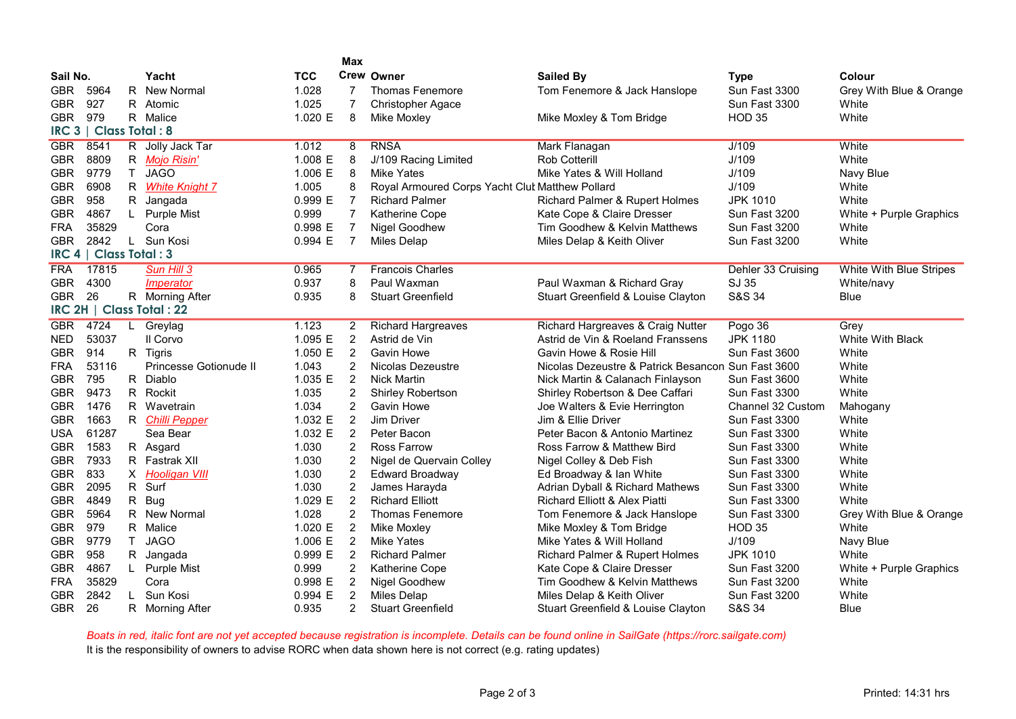|                  |                |                |                           |            | <b>Max</b>       |                                                 |                                                    |                    |                         |
|------------------|----------------|----------------|---------------------------|------------|------------------|-------------------------------------------------|----------------------------------------------------|--------------------|-------------------------|
| Sail No.         |                |                | Yacht                     | <b>TCC</b> |                  | <b>Crew Owner</b>                               | <b>Sailed By</b>                                   | <b>Type</b>        | Colour                  |
| <b>GBR</b>       | 5964           |                | R New Normal              | 1.028      | 7                | Thomas Fenemore                                 | Tom Fenemore & Jack Hanslope                       | Sun Fast 3300      | Grey With Blue & Orange |
| <b>GBR</b>       | 927            |                | R Atomic                  | 1.025      | $\overline{7}$   | <b>Christopher Agace</b>                        |                                                    | Sun Fast 3300      | White                   |
| <b>GBR</b>       | 979            |                | R Malice                  | 1.020 E    | 8                | Mike Moxley                                     | Mike Moxley & Tom Bridge                           | <b>HOD 35</b>      | White                   |
| IRC <sub>3</sub> | Class Total: 8 |                |                           |            |                  |                                                 |                                                    |                    |                         |
| <b>GBR</b>       | 8541           |                | R Jolly Jack Tar          | 1.012      | 8                | <b>RNSA</b>                                     | Mark Flanagan                                      | J/109              | White                   |
| <b>GBR</b>       | 8809           |                | R Mojo Risin'             | 1.008 E    | 8                | J/109 Racing Limited                            | Rob Cotterill                                      | J/109              | White                   |
| <b>GBR</b>       | 9779           | T              | <b>JAGO</b>               | 1.006 E    | 8                | <b>Mike Yates</b>                               | Mike Yates & Will Holland                          | J/109              | Navy Blue               |
| <b>GBR</b>       | 6908           |                | R White Knight 7          | 1.005      | 8                | Royal Armoured Corps Yacht Clut Matthew Pollard |                                                    | J/109              | White                   |
| <b>GBR</b>       | 958            |                | R Jangada                 | 0.999 E    | $\overline{7}$   | <b>Richard Palmer</b>                           | Richard Palmer & Rupert Holmes                     | <b>JPK 1010</b>    | White                   |
| <b>GBR</b>       | 4867           | $\mathsf{L}$   | <b>Purple Mist</b>        | 0.999      | $\overline{7}$   | Katherine Cope                                  | Kate Cope & Claire Dresser                         | Sun Fast 3200      | White + Purple Graphics |
| <b>FRA</b>       | 35829          |                | Cora                      | 0.998 E    | $\overline{7}$   | Nigel Goodhew                                   | Tim Goodhew & Kelvin Matthews                      | Sun Fast 3200      | White                   |
| <b>GBR</b>       | 2842           |                | L Sun Kosi                | 0.994 E    | $\overline{7}$   | Miles Delap                                     | Miles Delap & Keith Oliver                         | Sun Fast 3200      | White                   |
| IRC <sub>4</sub> | Class Total: 3 |                |                           |            |                  |                                                 |                                                    |                    |                         |
| <b>FRA</b>       | 17815          |                | Sun Hill 3                | 0.965      | 7                | <b>Francois Charles</b>                         |                                                    | Dehler 33 Cruising | White With Blue Stripes |
| <b>GBR</b>       | 4300           |                | <i><b>Imperator</b></i>   | 0.937      | 8                | Paul Waxman                                     | Paul Waxman & Richard Gray                         | SJ 35              | White/navy              |
| <b>GBR</b>       | 26             |                | R Morning After           | 0.935      | 8                | <b>Stuart Greenfield</b>                        | Stuart Greenfield & Louise Clayton                 | S&S 34             | <b>Blue</b>             |
|                  |                |                | IRC 2H   Class Total : 22 |            |                  |                                                 |                                                    |                    |                         |
| <b>GBR</b>       | 4724           | $\overline{L}$ | Greylag                   | 1.123      | $\overline{2}$   | <b>Richard Hargreaves</b>                       | <b>Richard Hargreaves &amp; Craig Nutter</b>       | Pogo 36            | Grey                    |
| <b>NED</b>       | 53037          |                | II Corvo                  | 1.095 E    | $\overline{c}$   | Astrid de Vin                                   | Astrid de Vin & Roeland Franssens                  | <b>JPK 1180</b>    | White With Black        |
| <b>GBR</b>       | 914            |                | R Tigris                  | 1.050 E    | $\overline{2}$   | <b>Gavin Howe</b>                               | Gavin Howe & Rosie Hill                            | Sun Fast 3600      | White                   |
| <b>FRA</b>       | 53116          |                | Princesse Gotionude II    | 1.043      | 2                | Nicolas Dezeustre                               | Nicolas Dezeustre & Patrick Besancon Sun Fast 3600 |                    | White                   |
| <b>GBR</b>       | 795            |                | R Diablo                  | 1.035 E    | $\overline{2}$   | <b>Nick Martin</b>                              | Nick Martin & Calanach Finlayson                   | Sun Fast 3600      | White                   |
| <b>GBR</b>       | 9473           |                | R Rockit                  | 1.035      | $\overline{c}$   | Shirley Robertson                               | Shirley Robertson & Dee Caffari                    | Sun Fast 3300      | White                   |
| <b>GBR</b>       | 1476           |                | R Wavetrain               | 1.034      | $\overline{2}$   | <b>Gavin Howe</b>                               | Joe Walters & Evie Herrington                      | Channel 32 Custom  | Mahogany                |
| <b>GBR</b>       | 1663           |                | R Chilli Pepper           | 1.032 E    | $\overline{2}$   | Jim Driver                                      | Jim & Ellie Driver                                 | Sun Fast 3300      | White                   |
| <b>USA</b>       | 61287          |                | Sea Bear                  | 1.032 E    | $\overline{c}$   | Peter Bacon                                     | Peter Bacon & Antonio Martinez                     | Sun Fast 3300      | White                   |
| <b>GBR</b>       | 1583           |                | R Asgard                  | 1.030      | $\overline{2}$   | <b>Ross Farrow</b>                              | Ross Farrow & Matthew Bird                         | Sun Fast 3300      | White                   |
| <b>GBR</b>       | 7933           |                | R Fastrak XII             | 1.030      | $\boldsymbol{2}$ | Nigel de Quervain Colley                        | Nigel Colley & Deb Fish                            | Sun Fast 3300      | White                   |
| <b>GBR</b>       | 833            |                | X Hooligan VIII           | 1.030      | $\overline{c}$   | <b>Edward Broadway</b>                          | Ed Broadway & Ian White                            | Sun Fast 3300      | White                   |
| <b>GBR</b>       | 2095           |                | R Surf                    | 1.030      | $\overline{c}$   | James Harayda                                   | Adrian Dyball & Richard Mathews                    | Sun Fast 3300      | White                   |
| <b>GBR</b>       | 4849           |                | R Bug                     | 1.029 E    | $\overline{2}$   | <b>Richard Elliott</b>                          | <b>Richard Elliott &amp; Alex Piatti</b>           | Sun Fast 3300      | White                   |
| <b>GBR</b>       | 5964           |                | R New Normal              | 1.028      | $\overline{2}$   | <b>Thomas Fenemore</b>                          | Tom Fenemore & Jack Hanslope                       | Sun Fast 3300      | Grey With Blue & Orange |
| <b>GBR</b>       | 979            |                | R Malice                  | 1.020 E    | 2                | Mike Moxley                                     | Mike Moxley & Tom Bridge                           | <b>HOD 35</b>      | White                   |
| <b>GBR</b>       | 9779           | T.             | <b>JAGO</b>               | 1.006 $E$  | $\overline{2}$   | <b>Mike Yates</b>                               | Mike Yates & Will Holland                          | J/109              | Navy Blue               |
| <b>GBR</b>       | 958            |                | R Jangada                 | 0.999 E    | 2                | <b>Richard Palmer</b>                           | Richard Palmer & Rupert Holmes                     | <b>JPK 1010</b>    | White                   |
| <b>GBR</b>       | 4867           |                | L Purple Mist             | 0.999      | 2                | Katherine Cope                                  | Kate Cope & Claire Dresser                         | Sun Fast 3200      | White + Purple Graphics |
| FRA              | 35829          |                | Cora                      | 0.998 E    | 2                | Nigel Goodhew                                   | Tim Goodhew & Kelvin Matthews                      | Sun Fast 3200      | White                   |
| <b>GBR</b>       | 2842           | L.             | Sun Kosi                  | 0.994 E    | $\overline{2}$   | Miles Delap                                     | Miles Delap & Keith Oliver                         | Sun Fast 3200      | White                   |
| <b>GBR</b>       | 26             |                | R Morning After           | 0.935      | 2                | <b>Stuart Greenfield</b>                        | Stuart Greenfield & Louise Clayton                 | S&S 34             | <b>Blue</b>             |

Boats in red, italic font are not yet accepted because registration is incomplete. Details can be found online in SailGate (https://rorc.sailgate.com) It is the responsibility of owners to advise RORC when data shown here is not correct (e.g. rating updates)